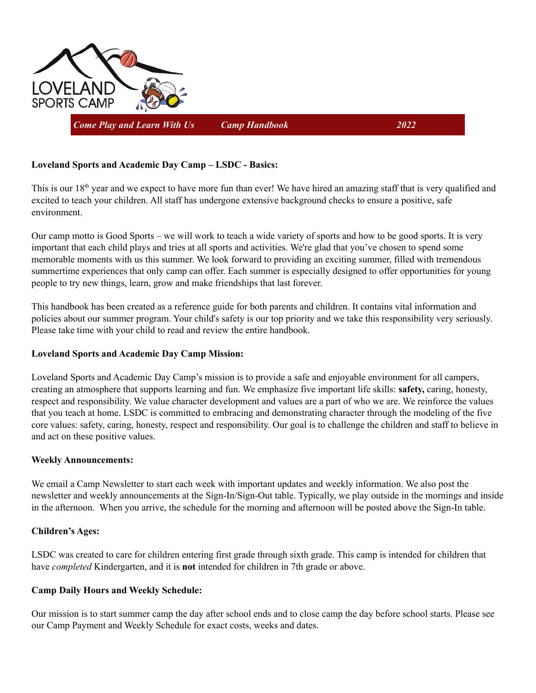

*Come Play and Learn With Us Camp Handbook 2022*

# **Loveland Sports and Academic Day Camp – LSDC - Basics:**

This is our  $18<sup>th</sup>$  year and we expect to have more fun than ever! We have hired an amazing staff that is very qualified and excited to teach your children. All staff has undergone extensive background checks to ensure a positive, safe environment.

Our camp motto is Good Sports – we will work to teach a wide variety of sports and how to be good sports. It is very important that each child plays and tries at all sports and activities. We're glad that you've chosen to spend some memorable moments with us this summer. We look forward to providing an exciting summer, filled with tremendous summertime experiences that only camp can offer. Each summer is especially designed to offer opportunities for young people to try new things, learn, grow and make friendships that last forever.

This handbook has been created as a reference guide for both parents and children. It contains vital information and policies about our summer program. Your child's safety is our top priority and we take this responsibility very seriously. Please take time with your child to read and review the entire handbook.

## **Loveland Sports and Academic Day Camp Mission:**

Loveland Sports and Academic Day Camp's mission is to provide a safe and enjoyable environment for all campers, creating an atmosphere that supports learning and fun. We emphasize five important life skills: **safety,** caring, honesty, respect and responsibility. We value character development and values are a part of who we are. We reinforce the values that you teach at home. LSDC is committed to embracing and demonstrating character through the modeling of the five core values: safety, caring, honesty, respect and responsibility. Our goal is to challenge the children and staff to believe in and act on these positive values.

## **Weekly Announcements:**

We email a Camp Newsletter to start each week with important updates and weekly information. We also post the newsletter and weekly announcements at the Sign-In/Sign-Out table. Typically, we play outside in the mornings and inside in the afternoon. When you arrive, the schedule for the morning and afternoon will be posted above the Sign-In table.

## **Children's Ages:**

LSDC was created to care for children entering first grade through sixth grade. This camp is intended for children that have *completed* Kindergarten, and it is **not** intended for children in 7th grade or above.

## **Camp Daily Hours and Weekly Schedule:**

Our mission is to start summer camp the day after school ends and to close camp the day before school starts. Please see our Camp Payment and Weekly Schedule for exact costs, weeks and dates.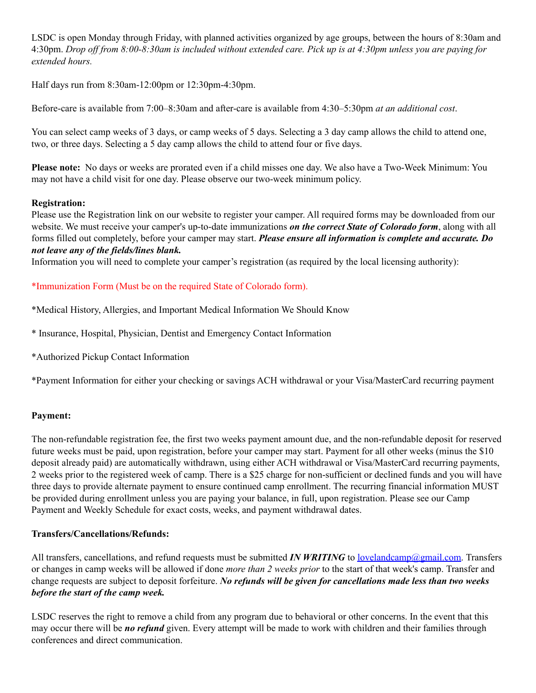LSDC is open Monday through Friday, with planned activities organized by age groups, between the hours of 8:30am and 4:30pm. Drop off from 8:00-8:30am is included without extended care. Pick up is at 4:30pm unless you are paying for *extended hours.*

Half days run from 8:30am-12:00pm or 12:30pm-4:30pm.

Before-care is available from 7:00–8:30am and after-care is available from 4:30–5:30pm *at an additional cost*.

You can select camp weeks of 3 days, or camp weeks of 5 days. Selecting a 3 day camp allows the child to attend one, two, or three days. Selecting a 5 day camp allows the child to attend four or five days.

**Please note:** No days or weeks are prorated even if a child misses one day. We also have a Two-Week Minimum: You may not have a child visit for one day. Please observe our two-week minimum policy.

## **Registration:**

Please use the Registration link on our website to register your camper. All required forms may be downloaded from our website. We must receive your camper's up-to-date immunizations *on the correct State of Colorado form*, along with all forms filled out completely, before your camper may start. *Please ensure all information is complete and accurate. Do not leave any of the fields/lines blank.*

Information you will need to complete your camper's registration (as required by the local licensing authority):

# \*Immunization Form (Must be on the required State of Colorado form).

\*Medical History, Allergies, and Important Medical Information We Should Know

\* Insurance, Hospital, Physician, Dentist and Emergency Contact Information

\*Authorized Pickup Contact Information

\*Payment Information for either your checking or savings ACH withdrawal or your Visa/MasterCard recurring payment

## **Payment:**

The non-refundable registration fee, the first two weeks payment amount due, and the non-refundable deposit for reserved future weeks must be paid, upon registration, before your camper may start. Payment for all other weeks (minus the \$10 deposit already paid) are automatically withdrawn, using either ACH withdrawal or Visa/MasterCard recurring payments, 2 weeks prior to the registered week of camp. There is a \$25 charge for non-sufficient or declined funds and you will have three days to provide alternate payment to ensure continued camp enrollment. The recurring financial information MUST be provided during enrollment unless you are paying your balance, in full, upon registration. Please see our Camp Payment and Weekly Schedule for exact costs, weeks, and payment withdrawal dates.

## **Transfers/Cancellations/Refunds:**

All transfers, cancellations, and refund requests must be submitted *IN WRITING* to <u>lovelandcamp@gmail.com</u>. Transfers or changes in camp weeks will be allowed if done *more than 2 weeks prior* to the start of that week's camp. Transfer and change requests are subject to deposit forfeiture. *No refunds will be given for cancellations made less than two weeks before the start of the camp week.*

LSDC reserves the right to remove a child from any program due to behavioral or other concerns. In the event that this may occur there will be *no refund* given. Every attempt will be made to work with children and their families through conferences and direct communication.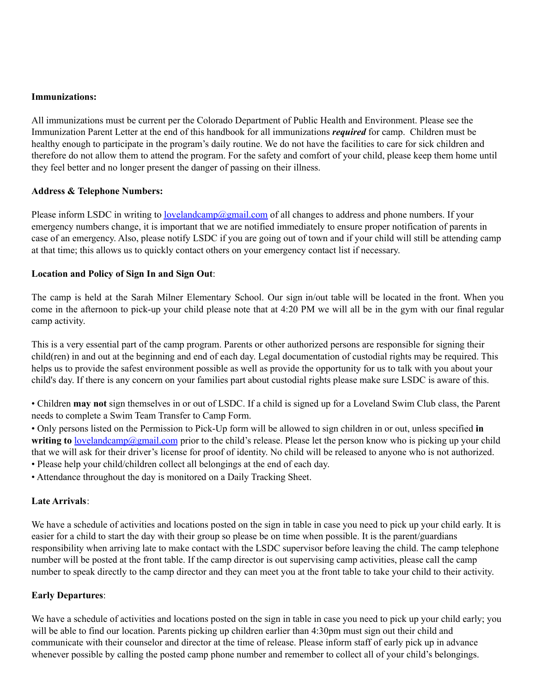#### **Immunizations:**

All immunizations must be current per the Colorado Department of Public Health and Environment. Please see the Immunization Parent Letter at the end of this handbook for all immunizations *required* for camp. Children must be healthy enough to participate in the program's daily routine. We do not have the facilities to care for sick children and therefore do not allow them to attend the program. For the safety and comfort of your child, please keep them home until they feel better and no longer present the danger of passing on their illness.

#### **Address & Telephone Numbers:**

Please inform LSDC in writing to [lovelandcamp@gmail.com](mailto:lovelandcamp@gmail.com) of all changes to address and phone numbers. If your emergency numbers change, it is important that we are notified immediately to ensure proper notification of parents in case of an emergency. Also, please notify LSDC if you are going out of town and if your child will still be attending camp at that time; this allows us to quickly contact others on your emergency contact list if necessary.

## **Location and Policy of Sign In and Sign Out**:

The camp is held at the Sarah Milner Elementary School. Our sign in/out table will be located in the front. When you come in the afternoon to pick-up your child please note that at 4:20 PM we will all be in the gym with our final regular camp activity.

This is a very essential part of the camp program. Parents or other authorized persons are responsible for signing their child(ren) in and out at the beginning and end of each day. Legal documentation of custodial rights may be required. This helps us to provide the safest environment possible as well as provide the opportunity for us to talk with you about your child's day. If there is any concern on your families part about custodial rights please make sure LSDC is aware of this.

• Children **may not** sign themselves in or out of LSDC. If a child is signed up for a Loveland Swim Club class, the Parent needs to complete a Swim Team Transfer to Camp Form.

• Only persons listed on the Permission to Pick-Up form will be allowed to sign children in or out, unless specified **in writing to** [lovelandcamp@gmail.com](mailto:lovelandcamp@gmail.com) prior to the child's release. Please let the person know who is picking up your child that we will ask for their driver's license for proof of identity. No child will be released to anyone who is not authorized. • Please help your child/children collect all belongings at the end of each day.

• Attendance throughout the day is monitored on a Daily Tracking Sheet.

## **Late Arrivals**:

We have a schedule of activities and locations posted on the sign in table in case you need to pick up your child early. It is easier for a child to start the day with their group so please be on time when possible. It is the parent/guardians responsibility when arriving late to make contact with the LSDC supervisor before leaving the child. The camp telephone number will be posted at the front table. If the camp director is out supervising camp activities, please call the camp number to speak directly to the camp director and they can meet you at the front table to take your child to their activity.

#### **Early Departures**:

We have a schedule of activities and locations posted on the sign in table in case you need to pick up your child early; you will be able to find our location. Parents picking up children earlier than 4:30pm must sign out their child and communicate with their counselor and director at the time of release. Please inform staff of early pick up in advance whenever possible by calling the posted camp phone number and remember to collect all of your child's belongings.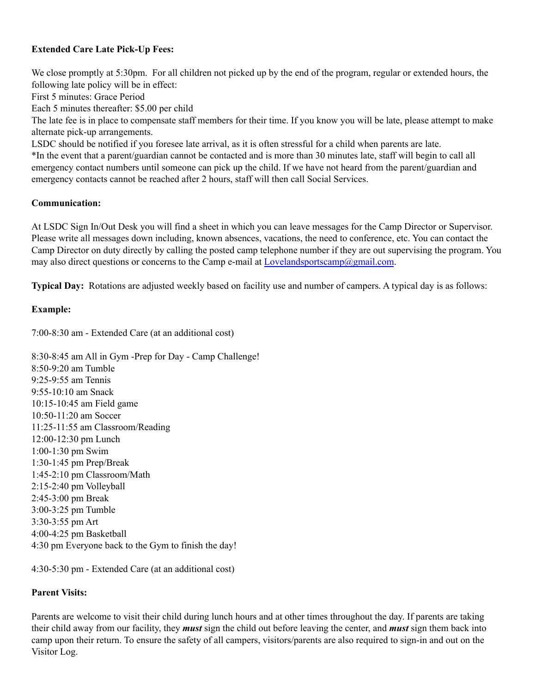## **Extended Care Late Pick-Up Fees:**

We close promptly at 5:30pm. For all children not picked up by the end of the program, regular or extended hours, the following late policy will be in effect:

First 5 minutes: Grace Period

Each 5 minutes thereafter: \$5.00 per child

The late fee is in place to compensate staff members for their time. If you know you will be late, please attempt to make alternate pick-up arrangements.

LSDC should be notified if you foresee late arrival, as it is often stressful for a child when parents are late. \*In the event that a parent/guardian cannot be contacted and is more than 30 minutes late, staff will begin to call all emergency contact numbers until someone can pick up the child. If we have not heard from the parent/guardian and emergency contacts cannot be reached after 2 hours, staff will then call Social Services.

#### **Communication:**

At LSDC Sign In/Out Desk you will find a sheet in which you can leave messages for the Camp Director or Supervisor. Please write all messages down including, known absences, vacations, the need to conference, etc. You can contact the Camp Director on duty directly by calling the posted camp telephone number if they are out supervising the program. You may also direct questions or concerns to the Camp e-mail at [Lovelandsportscamp@gmail.com](mailto:Lovelandsportscamp@gmail.com).

**Typical Day:** Rotations are adjusted weekly based on facility use and number of campers. A typical day is as follows:

## **Example:**

7:00-8:30 am - Extended Care (at an additional cost)

8:30-8:45 am All in Gym -Prep for Day - Camp Challenge! 8:50-9:20 am Tumble 9:25-9:55 am Tennis 9:55-10:10 am Snack 10:15-10:45 am Field game 10:50-11:20 am Soccer 11:25-11:55 am Classroom/Reading 12:00-12:30 pm Lunch 1:00-1:30 pm Swim 1:30-1:45 pm Prep/Break 1:45-2:10 pm Classroom/Math 2:15-2:40 pm Volleyball 2:45-3:00 pm Break 3:00-3:25 pm Tumble 3:30-3:55 pm Art 4:00-4:25 pm Basketball 4:30 pm Everyone back to the Gym to finish the day!

4:30-5:30 pm - Extended Care (at an additional cost)

## **Parent Visits:**

Parents are welcome to visit their child during lunch hours and at other times throughout the day. If parents are taking their child away from our facility, they *must* sign the child out before leaving the center, and *must* sign them back into camp upon their return. To ensure the safety of all campers, visitors/parents are also required to sign-in and out on the Visitor Log.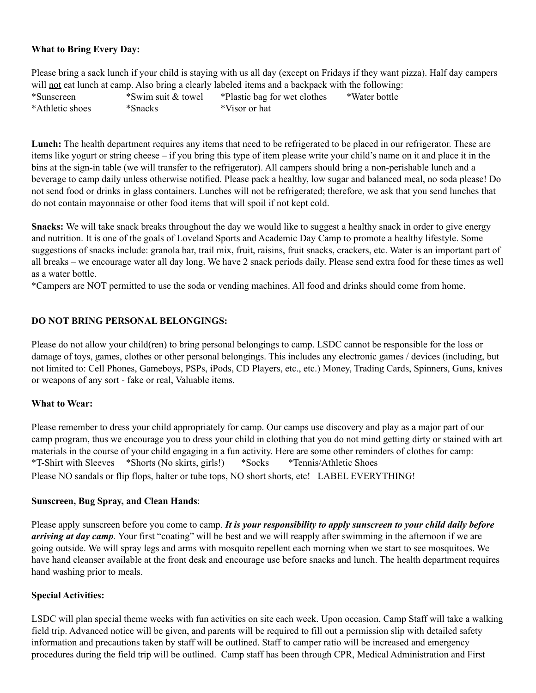#### **What to Bring Every Day:**

Please bring a sack lunch if your child is staying with us all day (except on Fridays if they want pizza). Half day campers will not eat lunch at camp. Also bring a clearly labeled items and a backpack with the following: \*Sunscreen \*Swim suit & towel \*Plastic bag for wet clothes \*Water bottle \*Athletic shoes \*Snacks \*Visor or hat

**Lunch:** The health department requires any items that need to be refrigerated to be placed in our refrigerator. These are items like yogurt or string cheese – if you bring this type of item please write your child's name on it and place it in the bins at the sign-in table (we will transfer to the refrigerator). All campers should bring a non-perishable lunch and a beverage to camp daily unless otherwise notified. Please pack a healthy, low sugar and balanced meal, no soda please! Do not send food or drinks in glass containers. Lunches will not be refrigerated; therefore, we ask that you send lunches that do not contain mayonnaise or other food items that will spoil if not kept cold.

**Snacks:** We will take snack breaks throughout the day we would like to suggest a healthy snack in order to give energy and nutrition. It is one of the goals of Loveland Sports and Academic Day Camp to promote a healthy lifestyle. Some suggestions of snacks include: granola bar, trail mix, fruit, raisins, fruit snacks, crackers, etc. Water is an important part of all breaks – we encourage water all day long. We have 2 snack periods daily. Please send extra food for these times as well as a water bottle.

\*Campers are NOT permitted to use the soda or vending machines. All food and drinks should come from home.

#### **DO NOT BRING PERSONAL BELONGINGS:**

Please do not allow your child(ren) to bring personal belongings to camp. LSDC cannot be responsible for the loss or damage of toys, games, clothes or other personal belongings. This includes any electronic games / devices (including, but not limited to: Cell Phones, Gameboys, PSPs, iPods, CD Players, etc., etc.) Money, Trading Cards, Spinners, Guns, knives or weapons of any sort - fake or real, Valuable items.

## **What to Wear:**

Please remember to dress your child appropriately for camp. Our camps use discovery and play as a major part of our camp program, thus we encourage you to dress your child in clothing that you do not mind getting dirty or stained with art materials in the course of your child engaging in a fun activity. Here are some other reminders of clothes for camp: \*T-Shirt with Sleeves \*Shorts (No skirts, girls!) \*Socks \*Tennis/Athletic Shoes Please NO sandals or flip flops, halter or tube tops, NO short shorts, etc! LABEL EVERYTHING!

#### **Sunscreen, Bug Spray, and Clean Hands**:

Please apply sunscreen before you come to camp. *It is your responsibility to apply sunscreen to your child daily before arriving at day camp*. Your first "coating" will be best and we will reapply after swimming in the afternoon if we are going outside. We will spray legs and arms with mosquito repellent each morning when we start to see mosquitoes. We have hand cleanser available at the front desk and encourage use before snacks and lunch. The health department requires hand washing prior to meals.

#### **Special Activities:**

LSDC will plan special theme weeks with fun activities on site each week. Upon occasion, Camp Staff will take a walking field trip. Advanced notice will be given, and parents will be required to fill out a permission slip with detailed safety information and precautions taken by staff will be outlined. Staff to camper ratio will be increased and emergency procedures during the field trip will be outlined. Camp staff has been through CPR, Medical Administration and First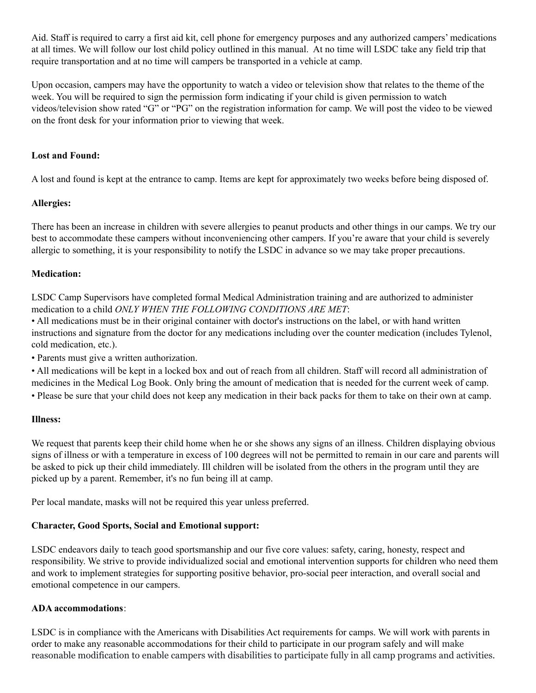Aid. Staff is required to carry a first aid kit, cell phone for emergency purposes and any authorized campers' medications at all times. We will follow our lost child policy outlined in this manual. At no time will LSDC take any field trip that require transportation and at no time will campers be transported in a vehicle at camp.

Upon occasion, campers may have the opportunity to watch a video or television show that relates to the theme of the week. You will be required to sign the permission form indicating if your child is given permission to watch videos/television show rated "G" or "PG" on the registration information for camp. We will post the video to be viewed on the front desk for your information prior to viewing that week.

## **Lost and Found:**

A lost and found is kept at the entrance to camp. Items are kept for approximately two weeks before being disposed of.

#### **Allergies:**

There has been an increase in children with severe allergies to peanut products and other things in our camps. We try our best to accommodate these campers without inconveniencing other campers. If you're aware that your child is severely allergic to something, it is your responsibility to notify the LSDC in advance so we may take proper precautions.

#### **Medication:**

LSDC Camp Supervisors have completed formal Medical Administration training and are authorized to administer medication to a child *ONLY WHEN THE FOLLOWING CONDITIONS ARE MET*:

• All medications must be in their original container with doctor's instructions on the label, or with hand written instructions and signature from the doctor for any medications including over the counter medication (includes Tylenol, cold medication, etc.).

• Parents must give a written authorization.

• All medications will be kept in a locked box and out of reach from all children. Staff will record all administration of medicines in the Medical Log Book. Only bring the amount of medication that is needed for the current week of camp.

• Please be sure that your child does not keep any medication in their back packs for them to take on their own at camp.

#### **Illness:**

We request that parents keep their child home when he or she shows any signs of an illness. Children displaying obvious signs of illness or with a temperature in excess of 100 degrees will not be permitted to remain in our care and parents will be asked to pick up their child immediately. Ill children will be isolated from the others in the program until they are picked up by a parent. Remember, it's no fun being ill at camp.

Per local mandate, masks will not be required this year unless preferred.

## **Character, Good Sports, Social and Emotional support:**

LSDC endeavors daily to teach good sportsmanship and our five core values: safety, caring, honesty, respect and responsibility. We strive to provide individualized social and emotional intervention supports for children who need them and work to implement strategies for supporting positive behavior, pro-social peer interaction, and overall social and emotional competence in our campers.

## **ADA accommodations**:

LSDC is in compliance with the Americans with Disabilities Act requirements for camps. We will work with parents in order to make any reasonable accommodations for their child to participate in our program safely and will make reasonable modification to enable campers with disabilities to participate fully in all camp programs and activities.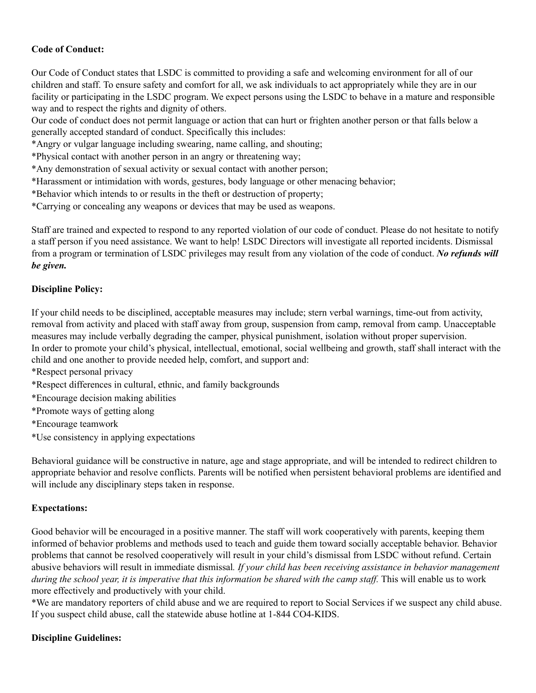## **Code of Conduct:**

Our Code of Conduct states that LSDC is committed to providing a safe and welcoming environment for all of our children and staff. To ensure safety and comfort for all, we ask individuals to act appropriately while they are in our facility or participating in the LSDC program. We expect persons using the LSDC to behave in a mature and responsible way and to respect the rights and dignity of others.

Our code of conduct does not permit language or action that can hurt or frighten another person or that falls below a generally accepted standard of conduct. Specifically this includes:

\*Angry or vulgar language including swearing, name calling, and shouting;

\*Physical contact with another person in an angry or threatening way;

\*Any demonstration of sexual activity or sexual contact with another person;

\*Harassment or intimidation with words, gestures, body language or other menacing behavior;

\*Behavior which intends to or results in the theft or destruction of property;

\*Carrying or concealing any weapons or devices that may be used as weapons.

Staff are trained and expected to respond to any reported violation of our code of conduct. Please do not hesitate to notify a staff person if you need assistance. We want to help! LSDC Directors will investigate all reported incidents. Dismissal from a program or termination of LSDC privileges may result from any violation of the code of conduct. *No refunds will be given.*

#### **Discipline Policy:**

If your child needs to be disciplined, acceptable measures may include; stern verbal warnings, time-out from activity, removal from activity and placed with staff away from group, suspension from camp, removal from camp. Unacceptable measures may include verbally degrading the camper, physical punishment, isolation without proper supervision. In order to promote your child's physical, intellectual, emotional, social wellbeing and growth, staff shall interact with the child and one another to provide needed help, comfort, and support and:

\*Respect personal privacy

\*Respect differences in cultural, ethnic, and family backgrounds

\*Encourage decision making abilities

\*Promote ways of getting along

\*Encourage teamwork

\*Use consistency in applying expectations

Behavioral guidance will be constructive in nature, age and stage appropriate, and will be intended to redirect children to appropriate behavior and resolve conflicts. Parents will be notified when persistent behavioral problems are identified and will include any disciplinary steps taken in response.

## **Expectations:**

Good behavior will be encouraged in a positive manner. The staff will work cooperatively with parents, keeping them informed of behavior problems and methods used to teach and guide them toward socially acceptable behavior. Behavior problems that cannot be resolved cooperatively will result in your child's dismissal from LSDC without refund. Certain abusive behaviors will result in immediate dismissal*. If your child has been receiving assistance in behavior management* during the school year, it is imperative that this information be shared with the camp staff. This will enable us to work more effectively and productively with your child.

\*We are mandatory reporters of child abuse and we are required to report to Social Services if we suspect any child abuse. If you suspect child abuse, call the statewide abuse hotline at 1-844 CO4-KIDS.

## **Discipline Guidelines:**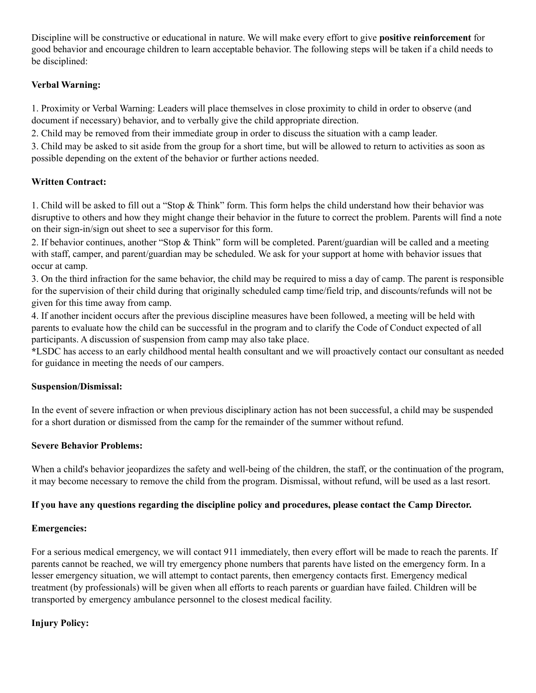Discipline will be constructive or educational in nature. We will make every effort to give **positive reinforcement** for good behavior and encourage children to learn acceptable behavior. The following steps will be taken if a child needs to be disciplined:

# **Verbal Warning:**

1. Proximity or Verbal Warning: Leaders will place themselves in close proximity to child in order to observe (and document if necessary) behavior, and to verbally give the child appropriate direction.

2. Child may be removed from their immediate group in order to discuss the situation with a camp leader.

3. Child may be asked to sit aside from the group for a short time, but will be allowed to return to activities as soon as possible depending on the extent of the behavior or further actions needed.

# **Written Contract:**

1. Child will be asked to fill out a "Stop & Think" form. This form helps the child understand how their behavior was disruptive to others and how they might change their behavior in the future to correct the problem. Parents will find a note on their sign-in/sign out sheet to see a supervisor for this form.

2. If behavior continues, another "Stop & Think" form will be completed. Parent/guardian will be called and a meeting with staff, camper, and parent/guardian may be scheduled. We ask for your support at home with behavior issues that occur at camp.

3. On the third infraction for the same behavior, the child may be required to miss a day of camp. The parent is responsible for the supervision of their child during that originally scheduled camp time/field trip, and discounts/refunds will not be given for this time away from camp.

4. If another incident occurs after the previous discipline measures have been followed, a meeting will be held with parents to evaluate how the child can be successful in the program and to clarify the Code of Conduct expected of all participants. A discussion of suspension from camp may also take place.

**\***LSDC has access to an early childhood mental health consultant and we will proactively contact our consultant as needed for guidance in meeting the needs of our campers.

## **Suspension/Dismissal:**

In the event of severe infraction or when previous disciplinary action has not been successful, a child may be suspended for a short duration or dismissed from the camp for the remainder of the summer without refund.

# **Severe Behavior Problems:**

When a child's behavior jeopardizes the safety and well-being of the children, the staff, or the continuation of the program, it may become necessary to remove the child from the program. Dismissal, without refund, will be used as a last resort.

# **If you have any questions regarding the discipline policy and procedures, please contact the Camp Director.**

## **Emergencies:**

For a serious medical emergency, we will contact 911 immediately, then every effort will be made to reach the parents. If parents cannot be reached, we will try emergency phone numbers that parents have listed on the emergency form. In a lesser emergency situation, we will attempt to contact parents, then emergency contacts first. Emergency medical treatment (by professionals) will be given when all efforts to reach parents or guardian have failed. Children will be transported by emergency ambulance personnel to the closest medical facility.

# **Injury Policy:**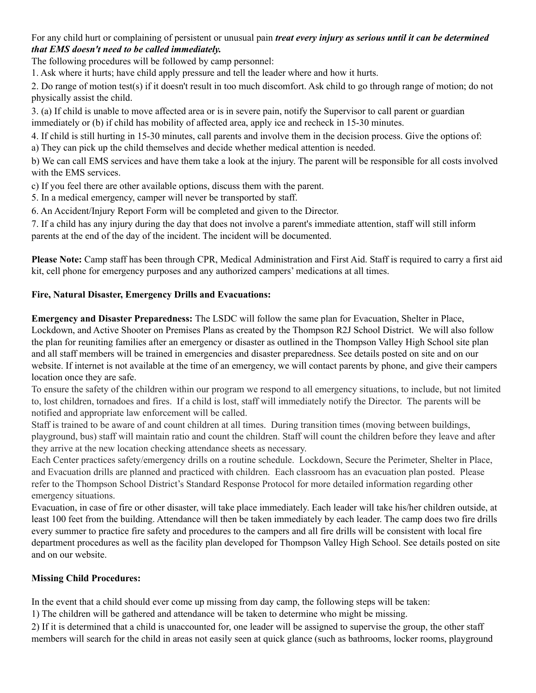For any child hurt or complaining of persistent or unusual pain *treat every injury as serious until it can be determined that EMS doesn't need to be called immediately.*

The following procedures will be followed by camp personnel:

1. Ask where it hurts; have child apply pressure and tell the leader where and how it hurts.

2. Do range of motion test(s) if it doesn't result in too much discomfort. Ask child to go through range of motion; do not physically assist the child.

3. (a) If child is unable to move affected area or is in severe pain, notify the Supervisor to call parent or guardian immediately or (b) if child has mobility of affected area, apply ice and recheck in 15-30 minutes.

4. If child is still hurting in 15-30 minutes, call parents and involve them in the decision process. Give the options of: a) They can pick up the child themselves and decide whether medical attention is needed.

b) We can call EMS services and have them take a look at the injury. The parent will be responsible for all costs involved with the EMS services.

c) If you feel there are other available options, discuss them with the parent.

5. In a medical emergency, camper will never be transported by staff.

6. An Accident/Injury Report Form will be completed and given to the Director.

7. If a child has any injury during the day that does not involve a parent's immediate attention, staff will still inform parents at the end of the day of the incident. The incident will be documented.

**Please Note:** Camp staff has been through CPR, Medical Administration and First Aid. Staff is required to carry a first aid kit, cell phone for emergency purposes and any authorized campers' medications at all times.

# **Fire, Natural Disaster, Emergency Drills and Evacuations:**

**Emergency and Disaster Preparedness:** The LSDC will follow the same plan for Evacuation, Shelter in Place, Lockdown, and Active Shooter on Premises Plans as created by the Thompson R2J School District. We will also follow the plan for reuniting families after an emergency or disaster as outlined in the Thompson Valley High School site plan and all staff members will be trained in emergencies and disaster preparedness. See details posted on site and on our website. If internet is not available at the time of an emergency, we will contact parents by phone, and give their campers location once they are safe.

To ensure the safety of the children within our program we respond to all emergency situations, to include, but not limited to, lost children, tornadoes and fires. If a child is lost, staff will immediately notify the Director. The parents will be notified and appropriate law enforcement will be called.

Staff is trained to be aware of and count children at all times. During transition times (moving between buildings, playground, bus) staff will maintain ratio and count the children. Staff will count the children before they leave and after they arrive at the new location checking attendance sheets as necessary.

Each Center practices safety/emergency drills on a routine schedule. Lockdown, Secure the Perimeter, Shelter in Place, and Evacuation drills are planned and practiced with children. Each classroom has an evacuation plan posted. Please refer to the Thompson School District's Standard Response Protocol for more detailed information regarding other emergency situations.

Evacuation, in case of fire or other disaster, will take place immediately. Each leader will take his/her children outside, at least 100 feet from the building. Attendance will then be taken immediately by each leader. The camp does two fire drills every summer to practice fire safety and procedures to the campers and all fire drills will be consistent with local fire department procedures as well as the facility plan developed for Thompson Valley High School. See details posted on site and on our website.

# **Missing Child Procedures:**

In the event that a child should ever come up missing from day camp, the following steps will be taken:

1) The children will be gathered and attendance will be taken to determine who might be missing.

2) If it is determined that a child is unaccounted for, one leader will be assigned to supervise the group, the other staff members will search for the child in areas not easily seen at quick glance (such as bathrooms, locker rooms, playground